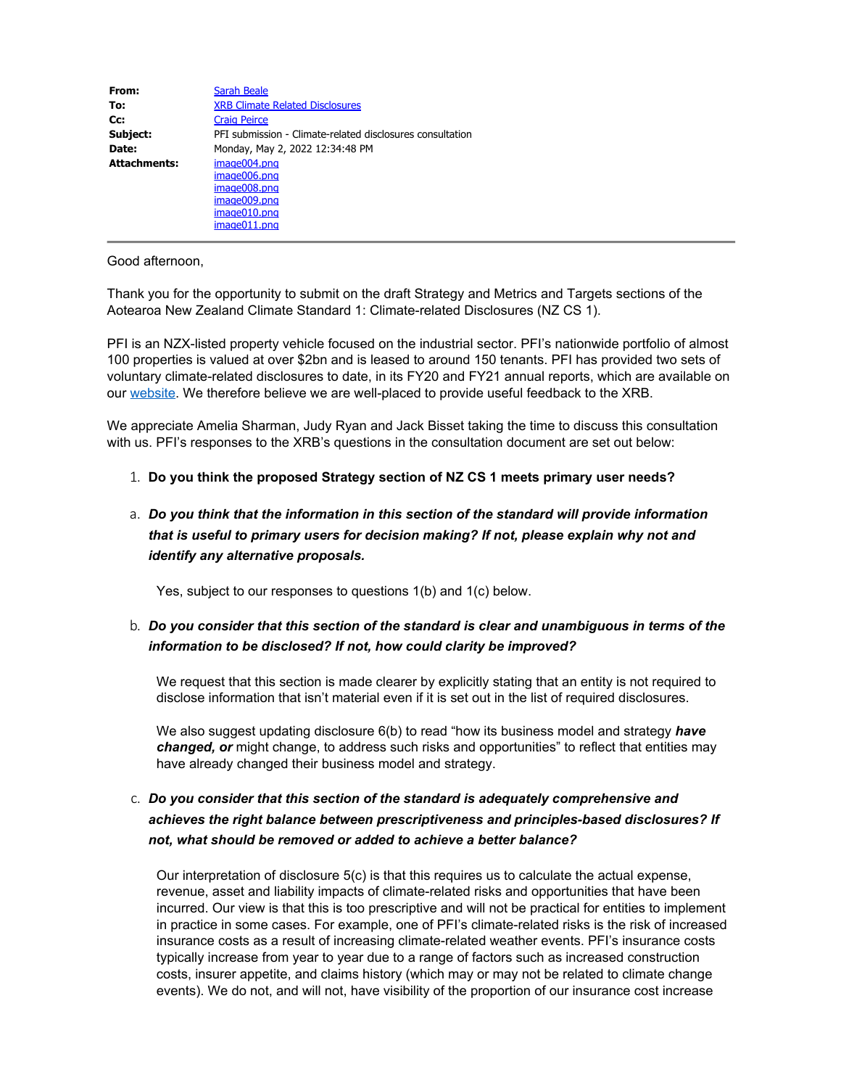| From:               | <b>Sarah Beale</b>                                        |
|---------------------|-----------------------------------------------------------|
| To:                 | <b>XRB Climate Related Disclosures</b>                    |
| Cc:                 | <b>Craig Peirce</b>                                       |
| Subject:            | PFI submission - Climate-related disclosures consultation |
| Date:               | Monday, May 2, 2022 12:34:48 PM                           |
| <b>Attachments:</b> | image004.png                                              |
|                     | image006.png                                              |
|                     | image008.png                                              |
|                     | image009.png                                              |
|                     | image010.png                                              |
|                     | image011.png                                              |

Good afternoon,

Thank you for the opportunity to submit on the draft Strategy and Metrics and Targets sections of the Aotearoa New Zealand Climate Standard 1: Climate-related Disclosures (NZ CS 1).

PFI is an NZX-listed property vehicle focused on the industrial sector. PFI's nationwide portfolio of almost 100 properties is valued at over \$2bn and is leased to around 150 tenants. PFI has provided two sets of voluntary climate-related disclosures to date, in its FY20 and FY21 annual reports, which are available on our [website.](https://aus01.safelinks.protection.outlook.com/?url=https%3A%2F%2Fwww.propertyforindustry.co.nz%2Finvestor-centre%2Freports-and-presentations%2F&data=05%7C01%7Cclimate%40xrb.govt.nz%7Cfad704e781f648b8853408da2bd38d59%7C5399615245614986a4e9e98f4cb07127%7C1%7C0%7C637870484873625675%7CUnknown%7CTWFpbGZsb3d8eyJWIjoiMC4wLjAwMDAiLCJQIjoiV2luMzIiLCJBTiI6Ik1haWwiLCJXVCI6Mn0%3D%7C3000%7C%7C%7C&sdata=Kol4btnsSBrSLcZonllleOzfdgTfCrIbwTrX0OJlvus%3D&reserved=0) We therefore believe we are well-placed to provide useful feedback to the XRB.

We appreciate Amelia Sharman, Judy Ryan and Jack Bisset taking the time to discuss this consultation with us. PFI's responses to the XRB's questions in the consultation document are set out below:

#### 1. **Do you think the proposed Strategy section of NZ CS 1 meets primary user needs?**

# a. *Do you think that the information in this section of the standard will provide information that is useful to primary users for decision making? If not, please explain why not and identify any alternative proposals.*

Yes, subject to our responses to questions 1(b) and 1(c) below.

## b. *Do you consider that this section of the standard is clear and unambiguous in terms of the information to be disclosed? If not, how could clarity be improved?*

We request that this section is made clearer by explicitly stating that an entity is not required to disclose information that isn't material even if it is set out in the list of required disclosures.

We also suggest updating disclosure 6(b) to read "how its business model and strategy have *changed, or* might change, to address such risks and opportunities" to reflect that entities may have already changed their business model and strategy.

## c. *Do you consider that this section of the standard is adequately comprehensive and achieves the right balance between prescriptiveness and principles-based disclosures? If not, what should be removed or added to achieve a better balance?*

Our interpretation of disclosure 5(c) is that this requires us to calculate the actual expense, revenue, asset and liability impacts of climate-related risks and opportunities that have been incurred. Our view is that this is too prescriptive and will not be practical for entities to implement in practice in some cases. For example, one of PFI's climate-related risks is the risk of increased insurance costs as a result of increasing climate-related weather events. PFI's insurance costs typically increase from year to year due to a range of factors such as increased construction costs, insurer appetite, and claims history (which may or may not be related to climate change events). We do not, and will not, have visibility of the proportion of our insurance cost increase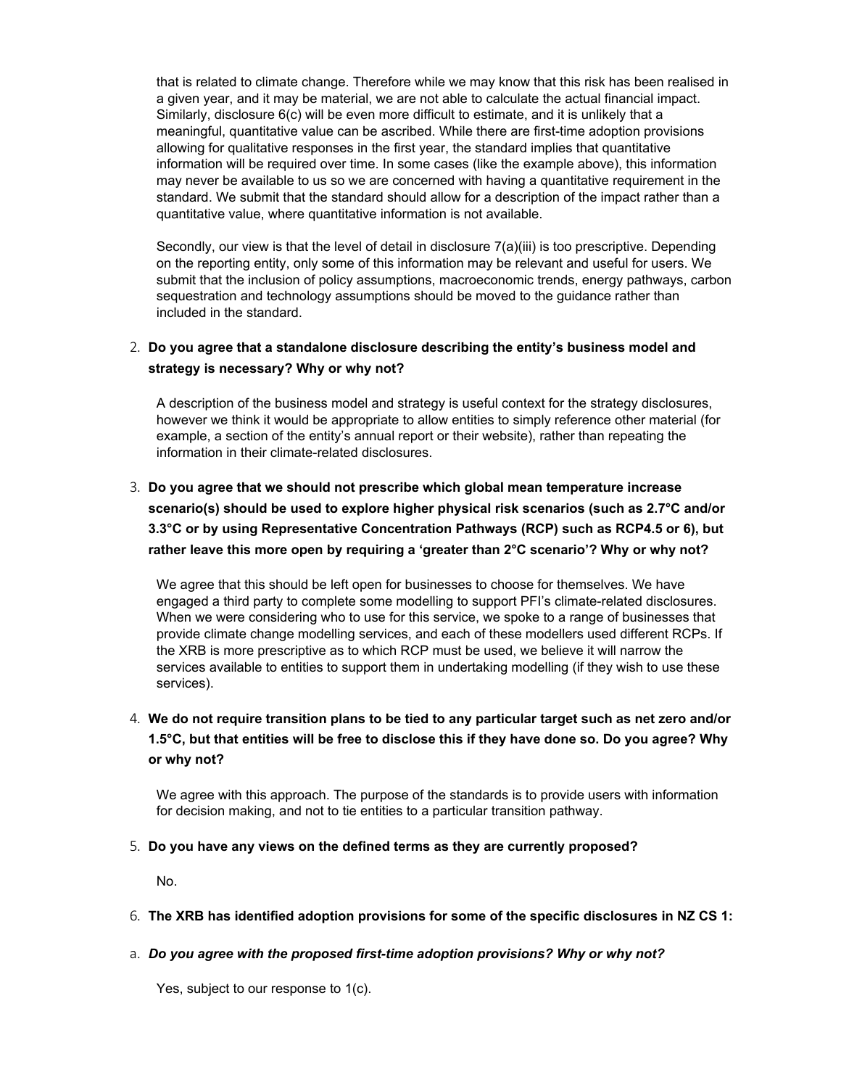that is related to climate change. Therefore while we may know that this risk has been realised in a given year, and it may be material, we are not able to calculate the actual financial impact. Similarly, disclosure 6(c) will be even more difficult to estimate, and it is unlikely that a meaningful, quantitative value can be ascribed. While there are first-time adoption provisions allowing for qualitative responses in the first year, the standard implies that quantitative information will be required over time. In some cases (like the example above), this information may never be available to us so we are concerned with having a quantitative requirement in the standard. We submit that the standard should allow for a description of the impact rather than a quantitative value, where quantitative information is not available.

Secondly, our view is that the level of detail in disclosure 7(a)(iii) is too prescriptive. Depending on the reporting entity, only some of this information may be relevant and useful for users. We submit that the inclusion of policy assumptions, macroeconomic trends, energy pathways, carbon sequestration and technology assumptions should be moved to the guidance rather than included in the standard.

### 2. **Do you agree that a standalone disclosure describing the entity's business model and strategy is necessary? Why or why not?**

A description of the business model and strategy is useful context for the strategy disclosures, however we think it would be appropriate to allow entities to simply reference other material (for example, a section of the entity's annual report or their website), rather than repeating the information in their climate-related disclosures.

# 3. **Do you agree that we should not prescribe which global mean temperature increase scenario(s) should be used to explore higher physical risk scenarios (such as 2.7°C and/or 3.3°C or by using Representative Concentration Pathways (RCP) such as RCP4.5 or 6), but rather leave this more open by requiring a 'greater than 2°C scenario'? Why or why not?**

We agree that this should be left open for businesses to choose for themselves. We have engaged a third party to complete some modelling to support PFI's climate-related disclosures. When we were considering who to use for this service, we spoke to a range of businesses that provide climate change modelling services, and each of these modellers used different RCPs. If the XRB is more prescriptive as to which RCP must be used, we believe it will narrow the services available to entities to support them in undertaking modelling (if they wish to use these services).

# 4. **We do not require transition plans to be tied to any particular target such as net zero and/or 1.5°C, but that entities will be free to disclose this if they have done so. Do you agree? Why or why not?**

We agree with this approach. The purpose of the standards is to provide users with information for decision making, and not to tie entities to a particular transition pathway.

### 5. **Do you have any views on the defined terms as they are currently proposed?**

No.

#### 6. **The XRB has identified adoption provisions for some of the specific disclosures in NZ CS 1:**

#### a. *Do you agree with the proposed first-time adoption provisions? Why or why not?*

Yes, subject to our response to 1(c).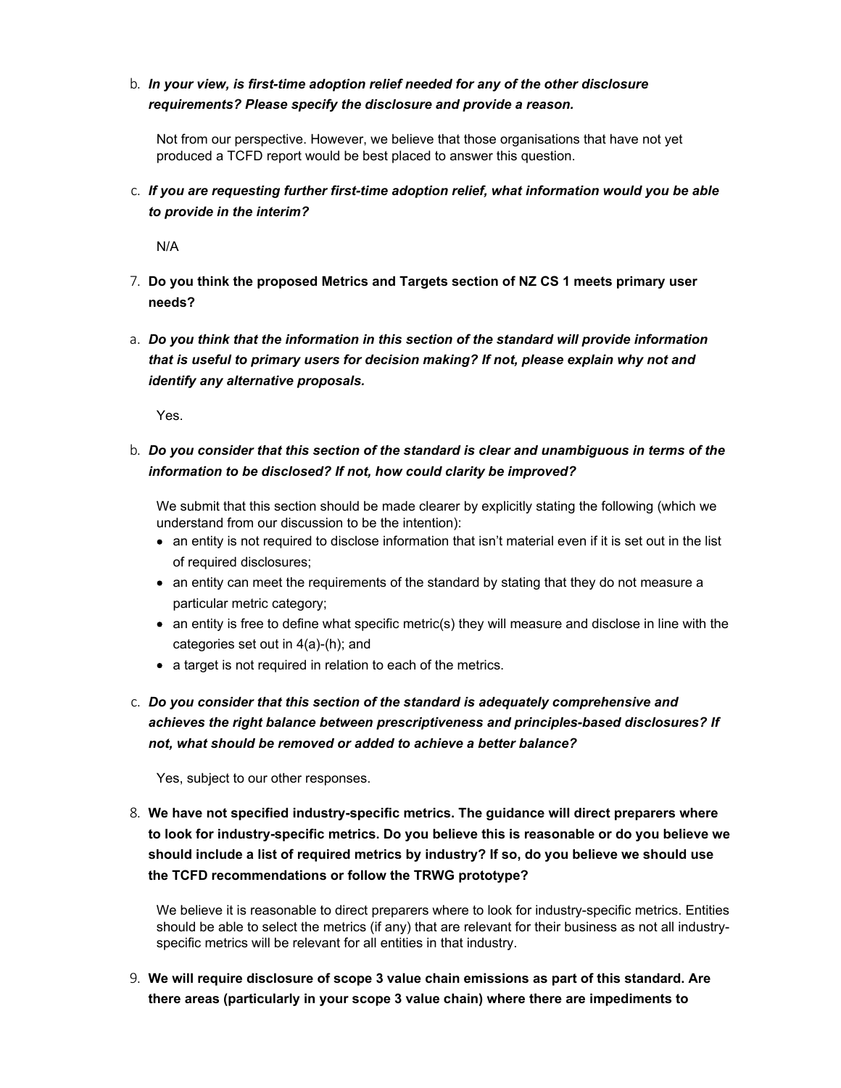## b. *In your view, is first-time adoption relief needed for any of the other disclosure requirements? Please specify the disclosure and provide a reason.*

Not from our perspective. However, we believe that those organisations that have not yet produced a TCFD report would be best placed to answer this question.

c. *If you are requesting further first-time adoption relief, what information would you be able to provide in the interim?*

N/A

- 7. **Do you think the proposed Metrics and Targets section of NZ CS 1 meets primary user needs?**
- a. *Do you think that the information in this section of the standard will provide information that is useful to primary users for decision making? If not, please explain why not and identify any alternative proposals.*

Yes.

## b. *Do you consider that this section of the standard is clear and unambiguous in terms of the information to be disclosed? If not, how could clarity be improved?*

We submit that this section should be made clearer by explicitly stating the following (which we understand from our discussion to be the intention):

- an entity is not required to disclose information that isn't material even if it is set out in the list of required disclosures;
- an entity can meet the requirements of the standard by stating that they do not measure a particular metric category;
- an entity is free to define what specific metric(s) they will measure and disclose in line with the categories set out in 4(a)-(h); and
- a target is not required in relation to each of the metrics.
- c. *Do you consider that this section of the standard is adequately comprehensive and achieves the right balance between prescriptiveness and principles-based disclosures? If not, what should be removed or added to achieve a better balance?*

Yes, subject to our other responses.

8. **We have not specified industry-specific metrics. The guidance will direct preparers where to look for industry-specific metrics. Do you believe this is reasonable or do you believe we should include a list of required metrics by industry? If so, do you believe we should use the TCFD recommendations or follow the TRWG prototype?**

We believe it is reasonable to direct preparers where to look for industry-specific metrics. Entities should be able to select the metrics (if any) that are relevant for their business as not all industryspecific metrics will be relevant for all entities in that industry.

9. **We will require disclosure of scope 3 value chain emissions as part of this standard. Are there areas (particularly in your scope 3 value chain) where there are impediments to**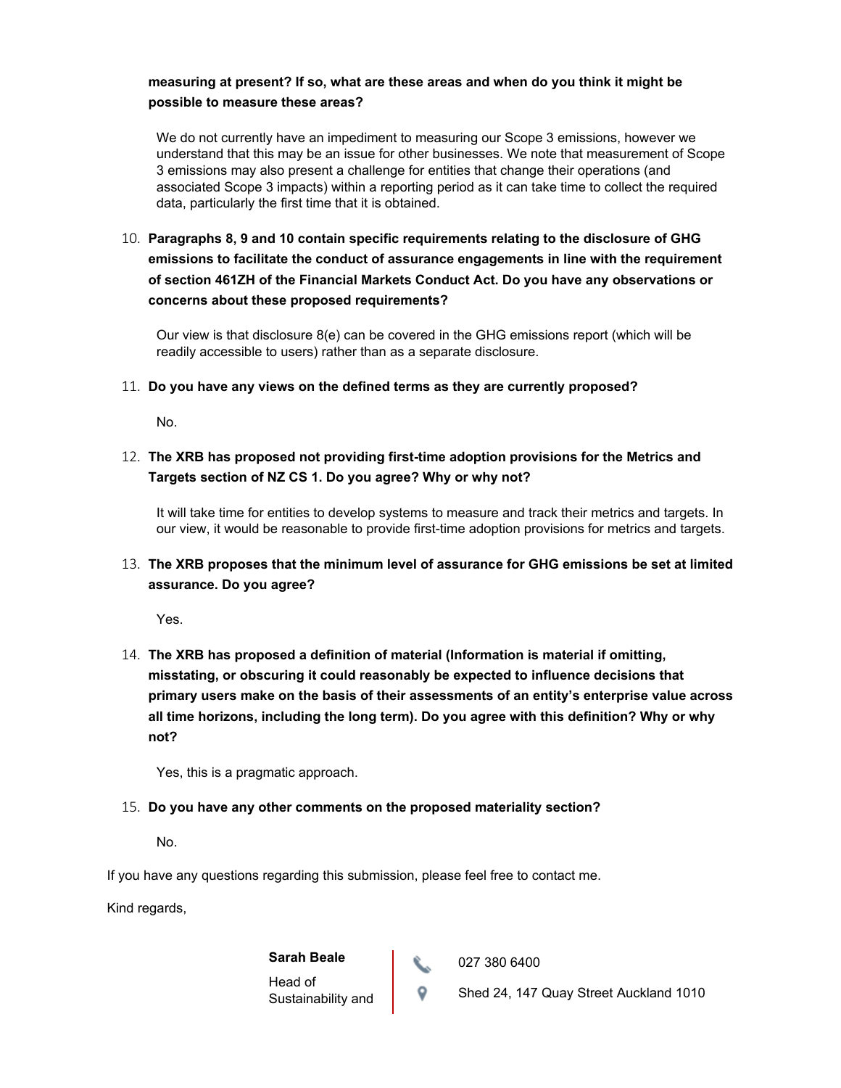### **measuring at present? If so, what are these areas and when do you think it might be possible to measure these areas?**

We do not currently have an impediment to measuring our Scope 3 emissions, however we understand that this may be an issue for other businesses. We note that measurement of Scope 3 emissions may also present a challenge for entities that change their operations (and associated Scope 3 impacts) within a reporting period as it can take time to collect the required data, particularly the first time that it is obtained.

10. **Paragraphs 8, 9 and 10 contain specific requirements relating to the disclosure of GHG emissions to facilitate the conduct of assurance engagements in line with the requirement of section 461ZH of the Financial Markets Conduct Act. Do you have any observations or concerns about these proposed requirements?**

Our view is that disclosure  $8(e)$  can be covered in the GHG emissions report (which will be readily accessible to users) rather than as a separate disclosure.

#### 11. **Do you have any views on the defined terms as they are currently proposed?**

No.

12. **The XRB has proposed not providing first-time adoption provisions for the Metrics and Targets section of NZ CS 1. Do you agree? Why or why not?**

It will take time for entities to develop systems to measure and track their metrics and targets. In our view, it would be reasonable to provide first-time adoption provisions for metrics and targets.

## 13. **The XRB proposes that the minimum level of assurance for GHG emissions be set at limited assurance. Do you agree?**

Yes.

14. **The XRB has proposed a definition of material (Information is material if omitting, misstating, or obscuring it could reasonably be expected to influence decisions that primary users make on the basis of their assessments of an entity's enterprise value across all time horizons, including the long term). Do you agree with this definition? Why or why not?**

Yes, this is a pragmatic approach.

### 15. **Do you have any other comments on the proposed materiality section?**

No.

If you have any questions regarding this submission, please feel free to contact me.

Kind regards,

**Sarah Beale** Head of Sustainability and 027 380 6400

**Shed 24, 147 Quay Street Auckland 1010**